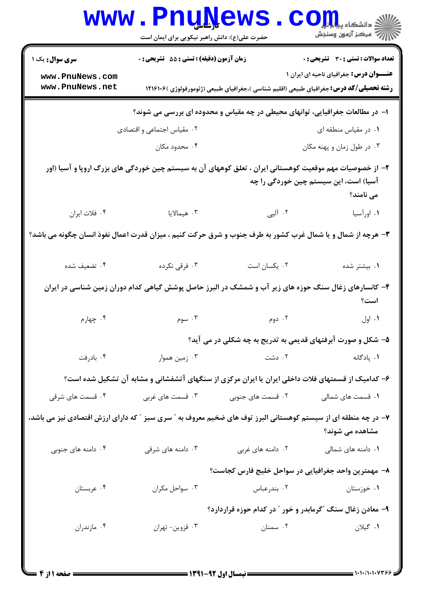|                                                                                                                                                               | <b>www.PnuNews</b>                               |                                                                                                   | $\mathbf{C}\mathbf{O}\mathbf{m}$ و دانشڪاه پ   |  |
|---------------------------------------------------------------------------------------------------------------------------------------------------------------|--------------------------------------------------|---------------------------------------------------------------------------------------------------|------------------------------------------------|--|
|                                                                                                                                                               | حضرت علی(ع): دانش راهبر نیکویی برای ایمان است    |                                                                                                   |                                                |  |
| <b>سری سوال :</b> یک ۱                                                                                                                                        | <b>زمان آزمون (دقیقه) : تستی : 55 تشریحی : 0</b> |                                                                                                   | <b>تعداد سوالات : تستی : 30 ٪ تشریحی : 0</b>   |  |
| www.PnuNews.com<br>www.PnuNews.net                                                                                                                            |                                                  | <b>رشته تحصیلی/کد درس:</b> جغرافیای طبیعی (اقلیم شناسی )،جغرافیای طبیعی (ژئومورفولوژی )۱۲۱۶۱۰۶    | <b>عنـــوان درس:</b> جغرافیای ناحیه ای ایران ۱ |  |
|                                                                                                                                                               |                                                  | ا- در مطالعات جغرافیایی، توانهای محیطی در چه مقیاس و محدوده ای بررسی می شوند؟                     |                                                |  |
|                                                                                                                                                               | ۰۲ مقیاس اجتماعی و اقتصادی                       |                                                                                                   | ۰۱ در مقیاس منطقه ای                           |  |
|                                                                                                                                                               | ۰۴ محدود مکان                                    |                                                                                                   | ۰۳ در طول زمان و پهنه مکان                     |  |
| ۲– از خصوصیات مهم موقعیت کوهستانی ایران ، تعلق کوههای آن به سیستم چین خوردگی های بزرگ اروپا و آسیا (اور<br>آسیا) است، این سیستم چین خوردگی را چه<br>می نامند؟ |                                                  |                                                                                                   |                                                |  |
| ۰۴ فلات ایران                                                                                                                                                 | ۰۳ هیمالایا                                      | ۲. آلپی                                                                                           | ۰۱ اورآسیا                                     |  |
| ۳- هرچه از شمال و یا شمال غرب کشور به طرف جنوب و شرق حرکت کنیم ، میزان قدرت اعمال نفوذ انسان چگونه می باشد؟                                                   |                                                  |                                                                                                   |                                                |  |
| ۰۴ تضعیف شده                                                                                                                                                  | ۰۳ فرقی نکرده                                    | ٠٢ يكسان است                                                                                      | ۰۱ بیشتر شده                                   |  |
| ۴– کانسارهای زغال سنگ حوزه های زیر آب و شمشک در البرز حاصل پوشش گیاهی کدام دوران زمین شناسی در ایران<br>است؟                                                  |                                                  |                                                                                                   |                                                |  |
| ۰۴ چهارم                                                                                                                                                      | ۰۳ سوم                                           | ۰۲ دوم                                                                                            | ۰۱ اول                                         |  |
|                                                                                                                                                               |                                                  | ۵- شکل و صورت آبرفتهای قدیمی به تدریج به چه شکلی در می آید؟                                       |                                                |  |
| ۰۴ بادرفت                                                                                                                                                     | ۰۳ زمین هموار                                    | ۰۲ دشت                                                                                            | ٠١. پادگانه                                    |  |
|                                                                                                                                                               |                                                  | ۶– کدامیک از قسمتهای فلات داخلی ایران یا ایران مرکزی از سنگهای آتشفشانی و مشابه آن تشکیل شده است؟ |                                                |  |
| ۰۴ قسمت های شرقی                                                                                                                                              | ۰۳ قسمت های غربی                                 | ۰۲ قسمت های جنوبی                                                                                 | ۰۱ قسمت های شمالی                              |  |
| ۷– در چه منطقه ای از سیستم کوهستانی البرز توف های ضخیم معروف به " سری سبز " که دارای ارزش اقتصادی نیز می باشد،<br>مشاهده می شوند؟                             |                                                  |                                                                                                   |                                                |  |
| ۰۴ دامنه های جنوبی                                                                                                                                            | ۰۳ دامنه های شرقی                                | ۰۲ دامنه های غربی                                                                                 | ۰۱ دامنه های شمالی                             |  |
|                                                                                                                                                               |                                                  | ۸– مهمترین واحد جغرافیایی در سواحل خلیج فارس کجاست؟                                               |                                                |  |
| ۰۴ عربستان                                                                                                                                                    | ۰۳ سواحل مکران                                   | ۰۲ بندرعباس                                                                                       | ۰۱ خوزستان                                     |  |
|                                                                                                                                                               |                                                  | ۹- معادن زغال سنگ "گرمابدر و خور " در کدام حوزه قراردارد؟                                         |                                                |  |
| ۰۴ مازندران                                                                                                                                                   | ۰۳ قزوين- تهران                                  | ۰۲ سمنان                                                                                          | ۰۱ گیلان                                       |  |
|                                                                                                                                                               |                                                  |                                                                                                   |                                                |  |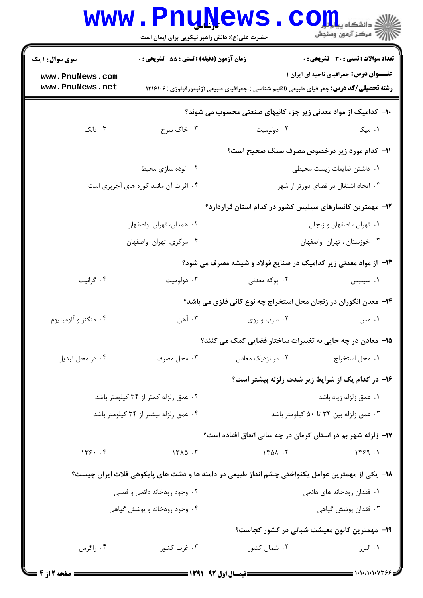|                                      | <b>www.PnuNews</b><br>حضرت علی(ع): دانش راهبر نیکویی برای ایمان است |                                                                                                  | ان دانشڪاء پيا <mark>۽ اور</mark><br>ا∜ مرڪز آزمون وسنڊش |
|--------------------------------------|---------------------------------------------------------------------|--------------------------------------------------------------------------------------------------|----------------------------------------------------------|
| <b>سری سوال : ۱ یک</b>               | زمان آزمون (دقیقه) : تستی : 55 گشریحی : 0                           |                                                                                                  | <b>تعداد سوالات : تستي : 30 ٪ تشريحي : 0</b>             |
| www.PnuNews.com<br>www.PnuNews.net   |                                                                     | <b>رشته تحصیلی/کد درس:</b> جغرافیای طبیعی (اقلیم شناسی )،جغرافیای طبیعی (ژئومورفولوژی )۱۲۱۶۱۰۶   | <b>عنـــوان درس:</b> جغرافیای ناحیه ای ایران ۱           |
|                                      |                                                                     | ∙ا− کدامیک از مواد معدنی زیر جزء کانیهای صنعتی محسوب می شوند؟                                    |                                                          |
| ۰۴ تالک                              | ۰۳ خاک سرخ                                                          | ۰۲ دولومیت                                                                                       | ۰۱ میکا                                                  |
|                                      |                                                                     | 11- کدام مورد زیر درخصوص مصرف سنگ صحیح است؟                                                      |                                                          |
|                                      | ۰۲ آلوده سازی محیط                                                  |                                                                                                  | ٠١ داشتن ضايعات زيست محيطى                               |
|                                      | ۰۴ اثرات آن مانند کوره های آجرپزی است                               |                                                                                                  | ۰۳ ایجاد اشتغال در فضای دورتر از شهر                     |
|                                      |                                                                     | ۱۲– مهمترین کانسارهای سیلیس کشور در کدام استان قراردارد؟                                         |                                                          |
|                                      | ۰۲ همدان، تهران واصفهان                                             |                                                                                                  | ۰۱ تهران ، اصفهان و زنجان                                |
|                                      | ۰۴ مرکزی، تهران واصفهان                                             |                                                                                                  | ۰۳ خوزستان ، تهران واصفهان                               |
|                                      |                                                                     | ۱۳- از مواد معدنی زیر کدامیک در صنایع فولاد و شیشه مصرف می شود؟                                  |                                                          |
| ۰۴ گرانيت                            | ۰۳ دولوميت                                                          | ۲. پوکه معدنی                                                                                    | ۰۱ سیلیس                                                 |
|                                      |                                                                     | ۱۴- معدن انگوران در زنجان محل استخراج چه نوع کانی فلزی می باشد؟                                  |                                                          |
| ۰۴ منگنز و آلومينيوم                 | ۰۳ آهن                                                              | ۰۲ سرب و روی                                                                                     | ۰۱ مس                                                    |
|                                      |                                                                     | ۱۵– معادن در چه جایی به تغییرات ساختار فضایی کمک می کنند؟                                        |                                                          |
| ۰۴ در محل تبدیل                      | ۰۳ محل مصرف                                                         | ۰۲ در نزدیک معادن                                                                                | ۰۱ محل استخراج                                           |
|                                      |                                                                     | ۱۶- در کدام یک از شرایط زیر شدت زلزله بیشتر است؟                                                 |                                                          |
| ۰۲ عمق زلزله کمتر از ۳۴ کیلومتر باشد |                                                                     |                                                                                                  | ۰۱ عمق زلزله زياد باشد                                   |
|                                      | ۰۴ عمق زلزله بیشتر از ۳۴ کیلومتر باشد                               |                                                                                                  | ۰۳ عمق زلزله بين ۳۴ تا ۵۰ كيلومتر باشد                   |
|                                      |                                                                     | ۱۷- زلزله شهر بم در استان کرمان در چه سالی اتفاق افتاده است؟                                     |                                                          |
| 149.7                                | $15A\Delta$ .                                                       | 1401.7                                                                                           | 1499.1                                                   |
|                                      |                                                                     | ۱۸− یکی از مهمترین عوامل یکنواختی چشم انداز طبیعی در دامنه ها و دشت های پایکوهی فلات ایران چیست؟ |                                                          |
| ۰۲ وجود رودخانه دائمی و فصلی         |                                                                     |                                                                                                  | ۰۱ فقدان رودخانه های دائمی                               |
|                                      | ۰۴ وجود رودخانه و پوشش گیاهی                                        |                                                                                                  | ۰۳ فقدان پوشش گیاهی                                      |
|                                      |                                                                     | ۱۹- مهمترین کانون معیشت شبانی در کشور کجاست؟                                                     |                                                          |
| ۰۴ زاگرس                             | ۰۳ غرب کشور                                                         | ۰۲ شمال کشور                                                                                     | ۰۱ البرز                                                 |
|                                      |                                                                     |                                                                                                  |                                                          |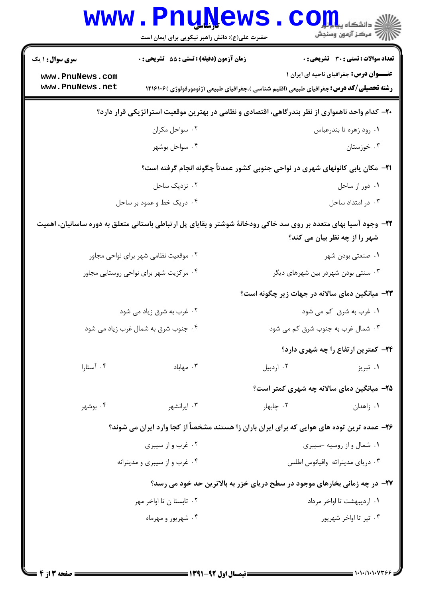| <b>سری سوال : ۱ یک</b>                                                                         | زمان آزمون (دقیقه) : تستی : 55 تشریحی : 0                                                                        |                                                | <b>تعداد سوالات : تستي : 30 ٪ تشريحي : 0</b>   |  |
|------------------------------------------------------------------------------------------------|------------------------------------------------------------------------------------------------------------------|------------------------------------------------|------------------------------------------------|--|
| www.PnuNews.com                                                                                |                                                                                                                  |                                                | <b>عنـــوان درس:</b> جغرافیای ناحیه ای ایران ۱ |  |
| www.PnuNews.net                                                                                | <b>رشته تحصیلی/کد درس:</b> جغرافیای طبیعی (اقلیم شناسی )،جغرافیای طبیعی (ژئومورفولوژی )۱۲۱۶۱۰۶                   |                                                |                                                |  |
| +۲- کدام واحد ناهمواری از نظر بندرگاهی، اقتصادی و نظامی در بهترین موقعیت استراتژیکی قرار دارد؟ |                                                                                                                  |                                                |                                                |  |
|                                                                                                | ۰۲ سواحل مکران                                                                                                   |                                                | ٠١. رود زهره تا بندرعباس                       |  |
|                                                                                                | ۰۴ سواحل بوشهر                                                                                                   |                                                | ۰۳ خوزستان                                     |  |
|                                                                                                | <b>۲۱</b> - مکان یابی کانونهای شهری در نواحی جنوبی کشور عمدتاً چگونه انجام گرفته است؟                            |                                                |                                                |  |
| ۰۲ نزدیک ساحل                                                                                  |                                                                                                                  |                                                | ٠١ دور از ساحل                                 |  |
|                                                                                                | ۰۴ دریک خط و عمود بر ساحل                                                                                        |                                                | ۰۳ در امتداد ساحل                              |  |
|                                                                                                | ۲۲– وجود آسیا بهای متعدد بر روی سد خاکی رودخانهٔ شوشتر و بقایای پل ارتباطی باستانی متعلق به دوره ساسانیان، اهمیت |                                                | شهر را از چه نظر بیان می کند؟                  |  |
|                                                                                                | ۰۲ موقعیت نظامی شهر برای نواحی مجاور                                                                             |                                                | ۰۱ صنعتی بودن شهر                              |  |
|                                                                                                | ۰۴ مرکزیت شهر برای نواحی روستایی مجاور                                                                           |                                                | ۰۳ سنتی بودن شهردر بین شهرهای دیگر             |  |
|                                                                                                |                                                                                                                  | ۲۳- میانگین دمای سالانه در جهات زیر چگونه است؟ |                                                |  |
|                                                                                                | ۰۲ غرب به شرق زیاد می شود                                                                                        |                                                | ۰۱ غرب به شرق کم می شود                        |  |
|                                                                                                | ۰۴ جنوب شرق به شمال غرب زیاد می شود                                                                              |                                                | ۰۳ شمال غرب به جنوب شرق کم می شود              |  |
|                                                                                                |                                                                                                                  |                                                | ۲۴- کمترین ارتفاع را چه شهری دارد؟             |  |
| ۰۴ آستارا                                                                                      | ۰۳ مهاباد                                                                                                        | ۰۲ اردبیل                                      | ۰۱ تبریز                                       |  |
|                                                                                                |                                                                                                                  |                                                | ۲۵– میانگین دمای سالانه چه شهری کمتر است؟      |  |
| ۰۴ بوشهر                                                                                       | ۰۳ ایرانشهر                                                                                                      | ۰۲ چابهار                                      | ۰۱ زاهدان                                      |  |
|                                                                                                | ۲۶- عمده ترین توده های هوایی که برای ایران باران زا هستند مشخصاً از کجا وارد ایران می شوند؟                      |                                                |                                                |  |
|                                                                                                | ۰۲ غرب و از سیبری                                                                                                |                                                | ۰۱ شمال و از روسیه -سیبری                      |  |
|                                                                                                | ۰۴ غرب و از سیبری و مدیترانه                                                                                     |                                                | ۰۳ دریای مدیتراته واقیانوس اطلس                |  |
|                                                                                                | ۲۷- در چه زمانی بخارهای موجود در سطح دریای خزر به بالاترین حد خود می رسد؟                                        |                                                |                                                |  |
|                                                                                                | ۰۲ تابستا ن تا اواخر مهر                                                                                         |                                                | ۰۱ اردیبهشت تا اواخر مرداد                     |  |
|                                                                                                | ۰۴ شهریور و مهرماه                                                                                               |                                                | ۰۳ تیر تا اواخر شهریور                         |  |